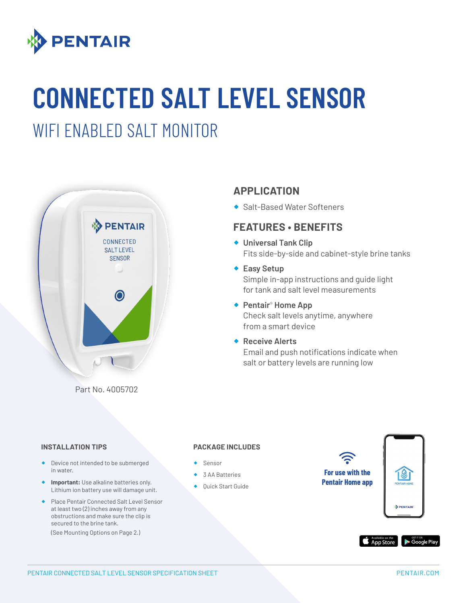

# **CONNECTED SALT LEVEL SENSOR**

### WIFI ENABLED SALT MONITOR



### **APPLICATION**

◆ Salt-Based Water Softeners

#### **FEATURES • BENEFITS**

- ® **Universal Tank Clip** Fits side-by-side and cabinet-style brine tanks
- ◆ Easy Setup Simple in-app instructions and guide light for tank and salt level measurements
- ◆ Pentair<sup>®</sup> Home App Check salt levels anytime, anywhere from a smart device
- ® **Receive Alerts** Email and push notifications indicate when salt or battery levels are running low

#### **INSTALLATION TIPS**

- ® Device not intended to be submerged in water.
- **Important:** Use alkaline batteries only. Lithium ion battery use will damage unit.
- ® Place Pentair Connected Salt Level Sensor at least two (2) inches away from any obstructions and make sure the clip is secured to the brine tank.

(See Mounting Options on Page 2.)

#### **PACKAGE INCLUDES**

- ® Sensor
- 3 AA Batteries
- ◆ Quick Start Guide

**For use with the Pentair Home appDENTA**